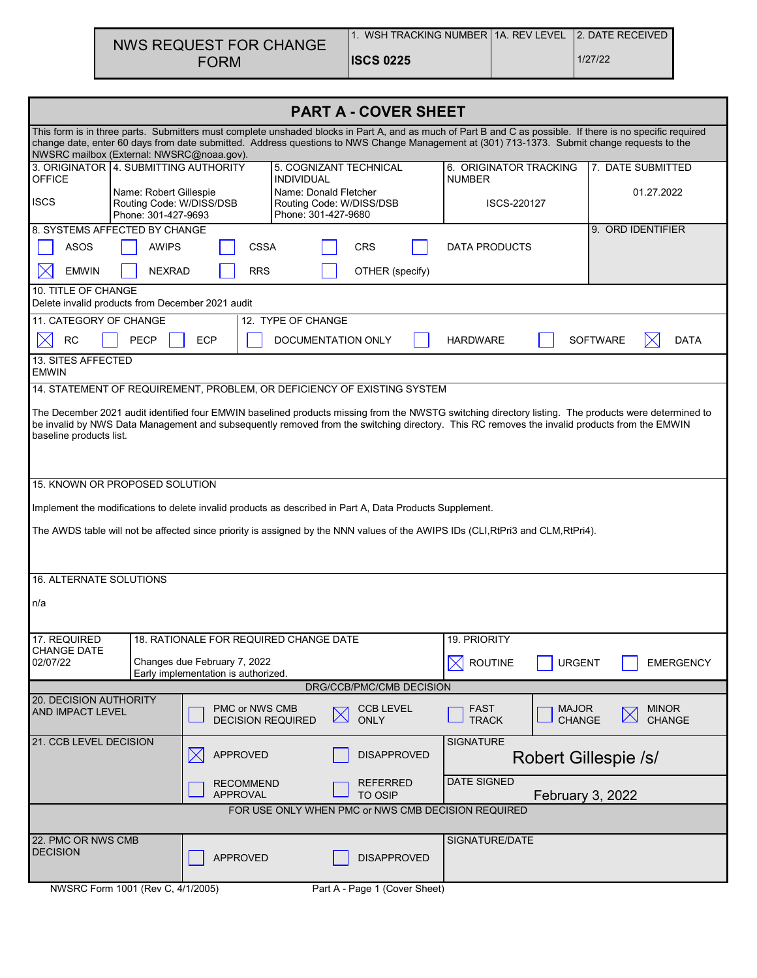| NWS REQUEST FOR CHANGE | WSH TRACKING NUMBER 11A. REV LEVEL 12. DATE RECEIVED |         |
|------------------------|------------------------------------------------------|---------|
| <b>FORM</b>            | <b>ISCS 0225</b>                                     | 1/27/22 |

| <b>PART A - COVER SHEET</b>                                                                                                                                                                                                                                                                                                                            |                                                                                                                                                                                                                                                                                                                                 |                                                                         |                                              |                                 |                                               |                                         |                               |                               |
|--------------------------------------------------------------------------------------------------------------------------------------------------------------------------------------------------------------------------------------------------------------------------------------------------------------------------------------------------------|---------------------------------------------------------------------------------------------------------------------------------------------------------------------------------------------------------------------------------------------------------------------------------------------------------------------------------|-------------------------------------------------------------------------|----------------------------------------------|---------------------------------|-----------------------------------------------|-----------------------------------------|-------------------------------|-------------------------------|
| This form is in three parts. Submitters must complete unshaded blocks in Part A, and as much of Part B and C as possible. If there is no specific required<br>change date, enter 60 days from date submitted. Address questions to NWS Change Management at (301) 713-1373. Submit change requests to the<br>NWSRC mailbox (External: NWSRC@noaa.gov). |                                                                                                                                                                                                                                                                                                                                 |                                                                         |                                              |                                 |                                               |                                         |                               |                               |
| 3. ORIGINATOR 4. SUBMITTING AUTHORITY<br><b>OFFICE</b>                                                                                                                                                                                                                                                                                                 |                                                                                                                                                                                                                                                                                                                                 |                                                                         | <b>INDIVIDUAL</b>                            | 5. COGNIZANT TECHNICAL          |                                               | 6. ORIGINATOR TRACKING<br><b>NUMBER</b> |                               | 7. DATE SUBMITTED             |
| <b>ISCS</b>                                                                                                                                                                                                                                                                                                                                            | Name: Robert Gillespie<br>Routing Code: W/DISS/DSB<br>Phone: 301-427-9693                                                                                                                                                                                                                                                       |                                                                         | Name: Donald Fletcher<br>Phone: 301-427-9680 | Routing Code: W/DISS/DSB        |                                               | ISCS-220127                             |                               | 01.27.2022                    |
| 8. SYSTEMS AFFECTED BY CHANGE                                                                                                                                                                                                                                                                                                                          |                                                                                                                                                                                                                                                                                                                                 |                                                                         |                                              |                                 |                                               |                                         |                               | 9. ORD IDENTIFIER             |
| <b>ASOS</b>                                                                                                                                                                                                                                                                                                                                            | <b>AWIPS</b>                                                                                                                                                                                                                                                                                                                    | <b>CSSA</b>                                                             |                                              | <b>CRS</b>                      |                                               | DATA PRODUCTS                           |                               |                               |
| <b>EMWIN</b><br>10. TITLE OF CHANGE                                                                                                                                                                                                                                                                                                                    | <b>NEXRAD</b>                                                                                                                                                                                                                                                                                                                   | <b>RRS</b>                                                              |                                              | OTHER (specify)                 |                                               |                                         |                               |                               |
| Delete invalid products from December 2021 audit                                                                                                                                                                                                                                                                                                       |                                                                                                                                                                                                                                                                                                                                 |                                                                         |                                              |                                 |                                               |                                         |                               |                               |
| 11. CATEGORY OF CHANGE                                                                                                                                                                                                                                                                                                                                 |                                                                                                                                                                                                                                                                                                                                 |                                                                         | 12. TYPE OF CHANGE                           |                                 |                                               |                                         |                               |                               |
| <b>RC</b>                                                                                                                                                                                                                                                                                                                                              | PECP                                                                                                                                                                                                                                                                                                                            | <b>ECP</b>                                                              |                                              | DOCUMENTATION ONLY              |                                               | <b>HARDWARE</b>                         |                               | <b>SOFTWARE</b><br>DATA       |
| 13. SITES AFFECTED<br><b>EMWIN</b>                                                                                                                                                                                                                                                                                                                     |                                                                                                                                                                                                                                                                                                                                 |                                                                         |                                              |                                 |                                               |                                         |                               |                               |
|                                                                                                                                                                                                                                                                                                                                                        |                                                                                                                                                                                                                                                                                                                                 | 14. STATEMENT OF REQUIREMENT, PROBLEM, OR DEFICIENCY OF EXISTING SYSTEM |                                              |                                 |                                               |                                         |                               |                               |
|                                                                                                                                                                                                                                                                                                                                                        | The December 2021 audit identified four EMWIN baselined products missing from the NWSTG switching directory listing. The products were determined to<br>be invalid by NWS Data Management and subsequently removed from the switching directory. This RC removes the invalid products from the EMWIN<br>baseline products list. |                                                                         |                                              |                                 |                                               |                                         |                               |                               |
| 15. KNOWN OR PROPOSED SOLUTION                                                                                                                                                                                                                                                                                                                         |                                                                                                                                                                                                                                                                                                                                 |                                                                         |                                              |                                 |                                               |                                         |                               |                               |
|                                                                                                                                                                                                                                                                                                                                                        |                                                                                                                                                                                                                                                                                                                                 |                                                                         |                                              |                                 |                                               |                                         |                               |                               |
| Implement the modifications to delete invalid products as described in Part A, Data Products Supplement.<br>The AWDS table will not be affected since priority is assigned by the NNN values of the AWIPS IDs (CLI, RtPri3 and CLM, RtPri4).                                                                                                           |                                                                                                                                                                                                                                                                                                                                 |                                                                         |                                              |                                 |                                               |                                         |                               |                               |
| <b>16. ALTERNATE SOLUTIONS</b>                                                                                                                                                                                                                                                                                                                         |                                                                                                                                                                                                                                                                                                                                 |                                                                         |                                              |                                 |                                               |                                         |                               |                               |
| n/a                                                                                                                                                                                                                                                                                                                                                    |                                                                                                                                                                                                                                                                                                                                 |                                                                         |                                              |                                 |                                               |                                         |                               |                               |
| 17. REQUIRED                                                                                                                                                                                                                                                                                                                                           |                                                                                                                                                                                                                                                                                                                                 | 18. RATIONALE FOR REQUIRED CHANGE DATE                                  |                                              |                                 |                                               | 19. PRIORITY                            |                               |                               |
| <b>CHANGE DATE</b><br>02/07/22                                                                                                                                                                                                                                                                                                                         |                                                                                                                                                                                                                                                                                                                                 | Changes due February 7, 2022<br>Early implementation is authorized.     |                                              |                                 |                                               | <b>ROUTINE</b><br>IXI                   | <b>URGENT</b>                 | <b>EMERGENCY</b>              |
| DRG/CCB/PMC/CMB DECISION                                                                                                                                                                                                                                                                                                                               |                                                                                                                                                                                                                                                                                                                                 |                                                                         |                                              |                                 |                                               |                                         |                               |                               |
| 20. DECISION AUTHORITY<br><b>AND IMPACT LEVEL</b>                                                                                                                                                                                                                                                                                                      |                                                                                                                                                                                                                                                                                                                                 | PMC or NWS CMB<br><b>DECISION REQUIRED</b>                              |                                              | <b>CCB LEVEL</b><br><b>ONLY</b> |                                               | FAST<br><b>TRACK</b>                    | <b>MAJOR</b><br><b>CHANGE</b> | <b>MINOR</b><br><b>CHANGE</b> |
| 21. CCB LEVEL DECISION                                                                                                                                                                                                                                                                                                                                 |                                                                                                                                                                                                                                                                                                                                 | <b>APPROVED</b>                                                         |                                              | <b>DISAPPROVED</b>              |                                               | <b>SIGNATURE</b>                        |                               | Robert Gillespie /s/          |
| <b>RECOMMEND</b><br><b>APPROVAL</b>                                                                                                                                                                                                                                                                                                                    |                                                                                                                                                                                                                                                                                                                                 |                                                                         | REFERRED<br><b>TO OSIP</b>                   |                                 | <b>DATE SIGNED</b><br><b>February 3, 2022</b> |                                         |                               |                               |
| FOR USE ONLY WHEN PMC or NWS CMB DECISION REQUIRED                                                                                                                                                                                                                                                                                                     |                                                                                                                                                                                                                                                                                                                                 |                                                                         |                                              |                                 |                                               |                                         |                               |                               |
| 22. PMC OR NWS CMB<br>SIGNATURE/DATE                                                                                                                                                                                                                                                                                                                   |                                                                                                                                                                                                                                                                                                                                 |                                                                         |                                              |                                 |                                               |                                         |                               |                               |
| <b>DECISION</b>                                                                                                                                                                                                                                                                                                                                        |                                                                                                                                                                                                                                                                                                                                 | <b>APPROVED</b>                                                         |                                              | <b>DISAPPROVED</b>              |                                               |                                         |                               |                               |
|                                                                                                                                                                                                                                                                                                                                                        | NWSRC Form 1001 (Rev C, 4/1/2005)                                                                                                                                                                                                                                                                                               |                                                                         |                                              | Part A - Page 1 (Cover Sheet)   |                                               |                                         |                               |                               |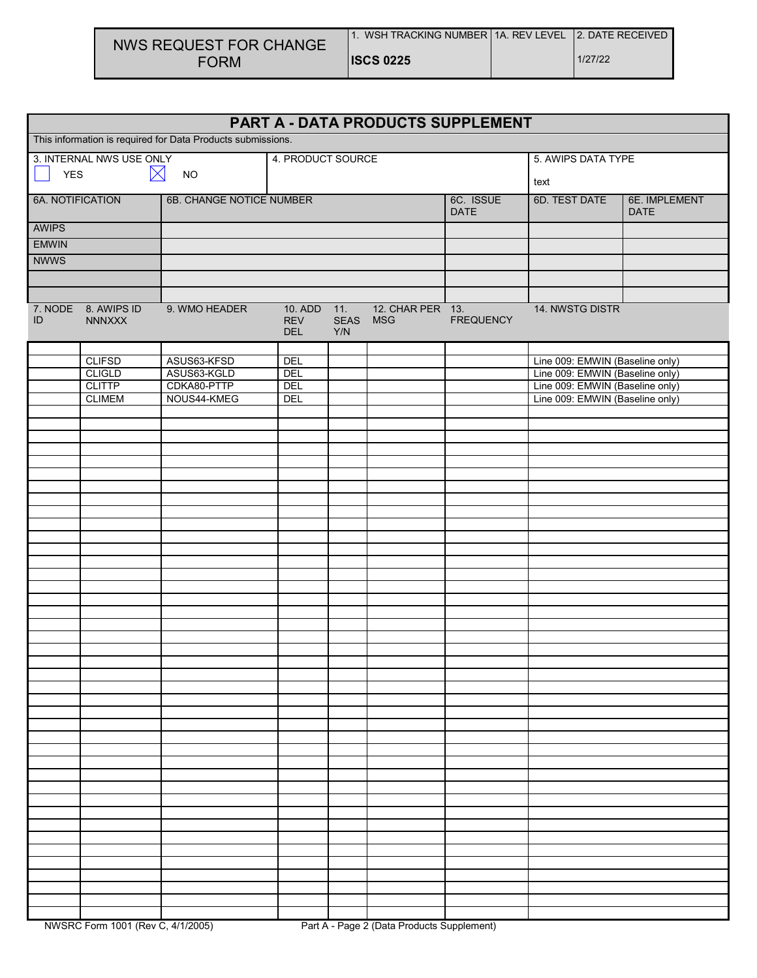| NWS REQUEST FOR CHANGE | WSH TRACKING NUMBER 11A, REV LEVEL 12, DATE RECEIVED |         |
|------------------------|------------------------------------------------------|---------|
| <b>FORM</b>            | <b>IISCS 0225</b>                                    | 1/27/22 |

| PART A - DATA PRODUCTS SUPPLEMENT                           |                               |                          |                                         |                    |                                |                  |                                 |  |
|-------------------------------------------------------------|-------------------------------|--------------------------|-----------------------------------------|--------------------|--------------------------------|------------------|---------------------------------|--|
| This information is required for Data Products submissions. |                               |                          |                                         |                    |                                |                  |                                 |  |
| 3. INTERNAL NWS USE ONLY                                    |                               |                          | 4. PRODUCT SOURCE                       |                    |                                |                  | 5. AWIPS DATA TYPE              |  |
| $\bowtie$<br><b>YES</b><br><b>NO</b>                        |                               |                          |                                         |                    |                                |                  | text                            |  |
| 6A. NOTIFICATION                                            |                               | 6B. CHANGE NOTICE NUMBER |                                         |                    | 6C. ISSUE<br><b>DATE</b>       | 6D. TEST DATE    | 6E. IMPLEMENT<br><b>DATE</b>    |  |
| <b>AWIPS</b>                                                |                               |                          |                                         |                    |                                |                  |                                 |  |
| <b>EMWIN</b>                                                |                               |                          |                                         |                    |                                |                  |                                 |  |
| <b>NWWS</b>                                                 |                               |                          |                                         |                    |                                |                  |                                 |  |
|                                                             |                               |                          |                                         |                    |                                |                  |                                 |  |
|                                                             |                               |                          |                                         |                    |                                |                  |                                 |  |
| ID                                                          | 7. NODE 8. AWIPS ID<br>NNNXXX | 9. WMO HEADER            | 10. ADD 11.<br><b>REV</b><br><b>DEL</b> | <b>SEAS</b><br>Y/N | 12. CHAR PER 13.<br><b>MSG</b> | <b>FREQUENCY</b> | 14. NWSTG DISTR                 |  |
|                                                             | <b>CLIFSD</b>                 | ASUS63-KFSD              | DEL                                     |                    |                                |                  | Line 009: EMWIN (Baseline only) |  |
|                                                             | <b>CLIGLD</b>                 | ASUS63-KGLD              | DEL                                     |                    |                                |                  | Line 009: EMWIN (Baseline only) |  |
|                                                             | <b>CLITTP</b>                 | CDKA80-PTTP              | DEL                                     |                    |                                |                  | Line 009: EMWIN (Baseline only) |  |
|                                                             | <b>CLIMEM</b>                 | NOUS44-KMEG              | DEL                                     |                    |                                |                  | Line 009: EMWIN (Baseline only) |  |
|                                                             |                               |                          |                                         |                    |                                |                  |                                 |  |
|                                                             |                               |                          |                                         |                    |                                |                  |                                 |  |
|                                                             |                               |                          |                                         |                    |                                |                  |                                 |  |
|                                                             |                               |                          |                                         |                    |                                |                  |                                 |  |
|                                                             |                               |                          |                                         |                    |                                |                  |                                 |  |
|                                                             |                               |                          |                                         |                    |                                |                  |                                 |  |
|                                                             |                               |                          |                                         |                    |                                |                  |                                 |  |
|                                                             |                               |                          |                                         |                    |                                |                  |                                 |  |
|                                                             |                               |                          |                                         |                    |                                |                  |                                 |  |
|                                                             |                               |                          |                                         |                    |                                |                  |                                 |  |
|                                                             |                               |                          |                                         |                    |                                |                  |                                 |  |
|                                                             |                               |                          |                                         |                    |                                |                  |                                 |  |
|                                                             |                               |                          |                                         |                    |                                |                  |                                 |  |
|                                                             |                               |                          |                                         |                    |                                |                  |                                 |  |
|                                                             |                               |                          |                                         |                    |                                |                  |                                 |  |
|                                                             |                               |                          |                                         |                    |                                |                  |                                 |  |
|                                                             |                               |                          |                                         |                    |                                |                  |                                 |  |
|                                                             |                               |                          |                                         |                    |                                |                  |                                 |  |
|                                                             |                               |                          |                                         |                    |                                |                  |                                 |  |
|                                                             |                               |                          |                                         |                    |                                |                  |                                 |  |
|                                                             |                               |                          |                                         |                    |                                |                  |                                 |  |
|                                                             |                               |                          |                                         |                    |                                |                  |                                 |  |
|                                                             |                               |                          |                                         |                    |                                |                  |                                 |  |
|                                                             |                               |                          |                                         |                    |                                |                  |                                 |  |
|                                                             |                               |                          |                                         |                    |                                |                  |                                 |  |
|                                                             |                               |                          |                                         |                    |                                |                  |                                 |  |
|                                                             |                               |                          |                                         |                    |                                |                  |                                 |  |
|                                                             |                               |                          |                                         |                    |                                |                  |                                 |  |
|                                                             |                               |                          |                                         |                    |                                |                  |                                 |  |
|                                                             |                               |                          |                                         |                    |                                |                  |                                 |  |
|                                                             |                               |                          |                                         |                    |                                |                  |                                 |  |
|                                                             |                               |                          |                                         |                    |                                |                  |                                 |  |